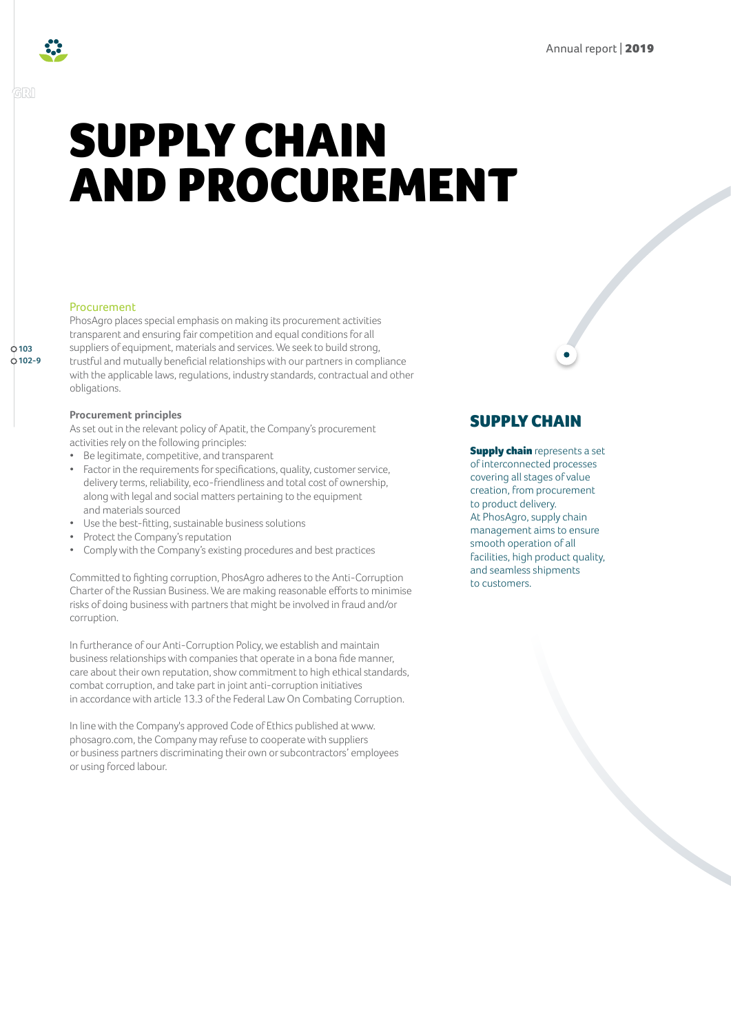

**103 102-9**

# SUPPLY CHAIN AND PROCUREMENT

#### Procurement

PhosAgro places special emphasis on making its procurement activities transparent and ensuring fair competition and equal conditions for all suppliers of equipment, materials and services. We seek to build strong, trustful and mutually beneficial relationships with our partners in compliance with the applicable laws, regulations, industry standards, contractual and other obligations.

#### **Procurement principles**

As set out in the relevant policy of Apatit, the Company's procurement activities rely on the following principles:

- Be legitimate, competitive, and transparent
- Factor in the requirements for specifications, quality, customer service, delivery terms, reliability, eco-friendliness and total cost of ownership, along with legal and social matters pertaining to the equipment and materials sourced
- Use the best-fitting, sustainable business solutions
- Protect the Company's reputation
- Comply with the Company's existing procedures and best practices

Committed to fighting corruption, PhosAgro adheres to the Anti-Corruption Charter of the Russian Business. We are making reasonable efforts to minimise risks of doing business with partners that might be involved in fraud and/or corruption.

In furtherance of our Anti-Corruption Policy, we establish and maintain business relationships with companies that operate in a bona fide manner, care about their own reputation, show commitment to high ethical standards, combat corruption, and take part in joint anti-corruption initiatives in accordance with article 13.3 of the Federal Law On Combating Corruption.

In line with the Company's approved Code of Ethics published at www. phosagro.com, the Company may refuse to cooperate with suppliers or business partners discriminating their own or subcontractors' employees or using forced labour.

# SUPPLY CHAIN

**Supply chain** represents a set of interconnected processes covering all stages of value creation, from procurement to product delivery. At PhosAgro, supply chain management aims to ensure smooth operation of all facilities, high product quality, and seamless shipments to customers.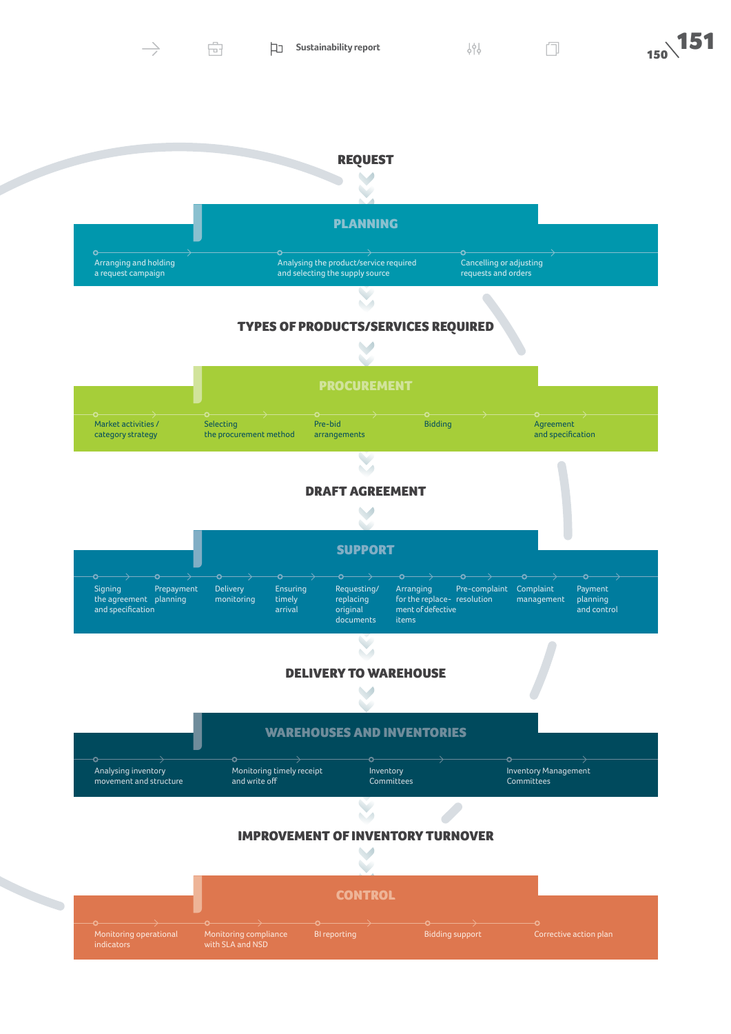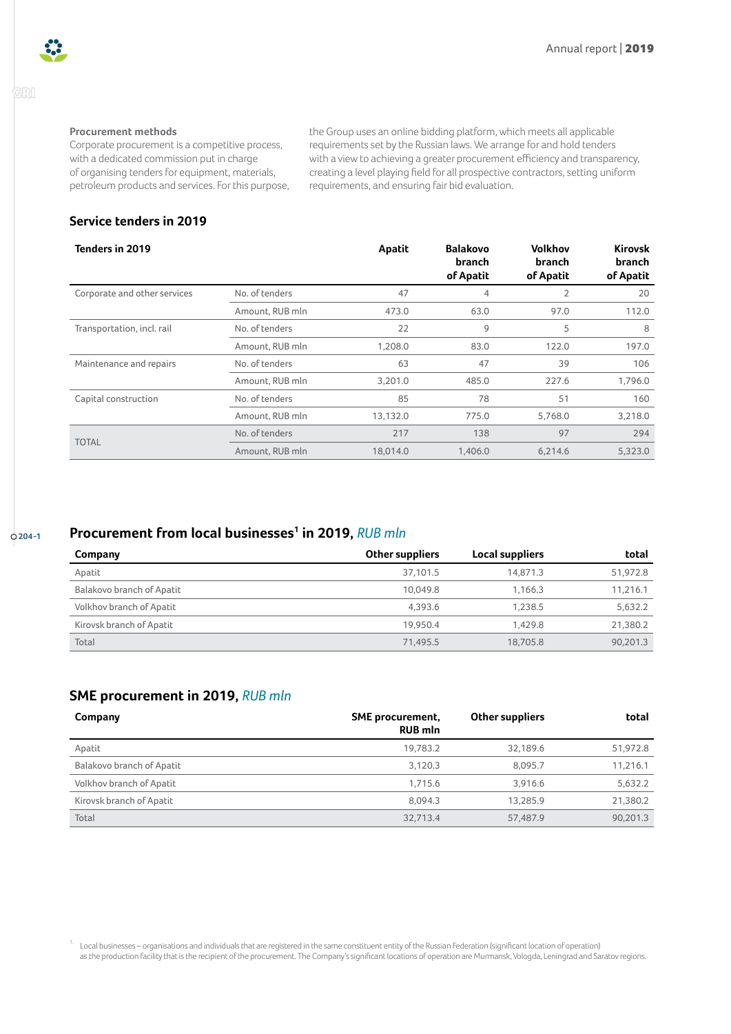

## GRI

#### **Procurement methods**

Corporate procurement is a competitive process, with a dedicated commission put in charge of organising tenders for equipment, materials, petroleum products and services. For this purpose, the Group uses an online bidding platform, which meets all applicable requirements set by the Russian laws. We arrange for and hold tenders with a view to achieving a greater procurement efficiency and transparency, creating a level playing field for all prospective contractors, setting uniform requirements, and ensuring fair bid evaluation.

## **Service tenders in 2019**

| Tenders in 2019              |                 | Apatit   | <b>Balakovo</b><br>branch<br>of Apatit | Volkhov<br>branch<br>of Apatit | <b>Kirovsk</b><br><b>branch</b><br>of Apatit |
|------------------------------|-----------------|----------|----------------------------------------|--------------------------------|----------------------------------------------|
| Corporate and other services | No. of tenders  | 47       | 4                                      | $\overline{2}$                 | 20                                           |
|                              | Amount, RUB mln | 473.0    | 63.0                                   | 97.0                           | 112.0                                        |
| Transportation, incl. rail   | No. of tenders  | 22       | 9                                      | 5                              | 8                                            |
|                              | Amount, RUB mln | 1,208.0  | 83.0                                   | 122.0                          | 197.0                                        |
| Maintenance and repairs      | No. of tenders  | 63       | 47                                     | 39                             | 106                                          |
|                              | Amount, RUB mln | 3,201.0  | 485.0                                  | 227.6                          | 1,796.0                                      |
| Capital construction         | No. of tenders  | 85       | 78                                     | 51                             | 160                                          |
|                              | Amount, RUB mln | 13,132.0 | 775.0                                  | 5,768.0                        | 3,218.0                                      |
| <b>TOTAL</b>                 | No. of tenders  | 217      | 138                                    | 97                             | 294                                          |
|                              | Amount, RUB mln | 18.014.0 | 1.406.0                                | 6.214.6                        | 5,323.0                                      |

## **204-1 Procurement from local businesses[1](#page-2-0) in 2019,** *RUB mln*

| Company                   | <b>Other suppliers</b> | Local suppliers | total    |
|---------------------------|------------------------|-----------------|----------|
| Apatit                    | 37.101.5               | 14.871.3        | 51,972.8 |
| Balakovo branch of Apatit | 10.049.8               | 1.166.3         | 11.216.1 |
| Volkhov branch of Apatit  | 4.393.6                | 1.238.5         | 5,632.2  |
| Kirovsk branch of Apatit  | 19.950.4               | 1.429.8         | 21.380.2 |
| Total                     | 71.495.5               | 18,705.8        | 90.201.3 |

# **SME procurement in 2019,** *RUB mln*

| Company                   | <b>SME</b> procurement,<br><b>RUB mln</b> | Other suppliers | total    |
|---------------------------|-------------------------------------------|-----------------|----------|
| Apatit                    | 19.783.2                                  | 32,189.6        | 51,972.8 |
| Balakovo branch of Apatit | 3.120.3                                   | 8.095.7         | 11,216.1 |
| Volkhov branch of Apatit  | 1.715.6                                   | 3.916.6         | 5,632.2  |
| Kirovsk branch of Apatit  | 8.094.3                                   | 13.285.9        | 21,380.2 |
| Total                     | 32.713.4                                  | 57,487.9        | 90.201.3 |

<span id="page-2-0"></span><sup>1.</sup> Local businesses – organisations and individuals that are registered in the same constituent entity of the Russian Federation (significant location of operation) as the production facility that is the recipient of the procurement. The Company's significant locations of operation are Murmansk, Vologda, Leningrad and Saratov regions.